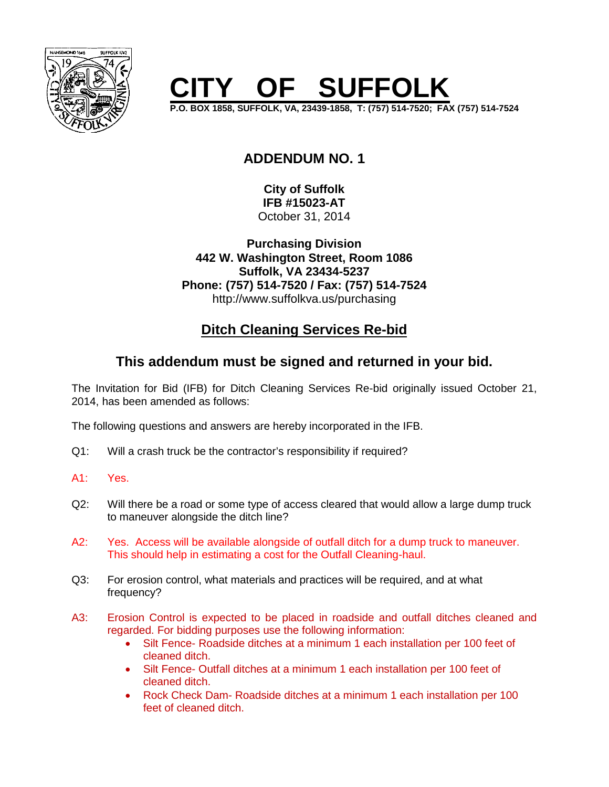

## **F SUFFOLK**

**P.O. BOX 1858, SUFFOLK, VA, 23439-1858, T: (757) 514-7520; FAX (757) 514-7524**

## **ADDENDUM NO. 1**

**City of Suffolk IFB #15023-AT** October 31, 2014

**Purchasing Division 442 W. Washington Street, Room 1086 Suffolk, VA 23434-5237 Phone: (757) 514-7520 / Fax: (757) 514-7524** http://www.suffolkva.us/purchasing

## **Ditch Cleaning Services Re-bid**

## **This addendum must be signed and returned in your bid.**

The Invitation for Bid (IFB) for Ditch Cleaning Services Re-bid originally issued October 21, 2014, has been amended as follows:

The following questions and answers are hereby incorporated in the IFB.

- Q1: Will a crash truck be the contractor's responsibility if required?
- A1: Yes.
- Q2: Will there be a road or some type of access cleared that would allow a large dump truck to maneuver alongside the ditch line?
- A2: Yes. Access will be available alongside of outfall ditch for a dump truck to maneuver. This should help in estimating a cost for the Outfall Cleaning-haul.
- Q3: For erosion control, what materials and practices will be required, and at what frequency?
- A3: Erosion Control is expected to be placed in roadside and outfall ditches cleaned and regarded. For bidding purposes use the following information:
	- Silt Fence- Roadside ditches at a minimum 1 each installation per 100 feet of cleaned ditch.
	- Silt Fence- Outfall ditches at a minimum 1 each installation per 100 feet of cleaned ditch.
	- Rock Check Dam-Roadside ditches at a minimum 1 each installation per 100 feet of cleaned ditch.